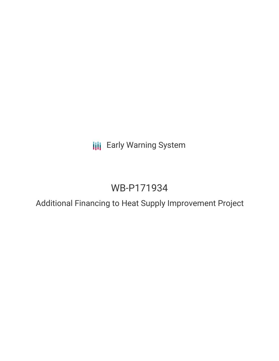**III** Early Warning System

# WB-P171934

Additional Financing to Heat Supply Improvement Project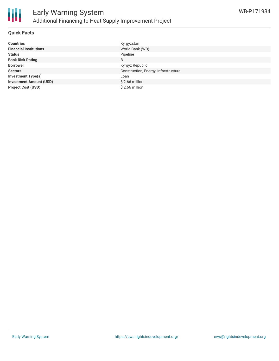

#### **Quick Facts**

| <b>Countries</b>               | Kyrgyzstan                           |
|--------------------------------|--------------------------------------|
| <b>Financial Institutions</b>  | World Bank (WB)                      |
| <b>Status</b>                  | Pipeline                             |
| <b>Bank Risk Rating</b>        | B                                    |
| <b>Borrower</b>                | Kyrgyz Republic                      |
| <b>Sectors</b>                 | Construction, Energy, Infrastructure |
| <b>Investment Type(s)</b>      | Loan                                 |
| <b>Investment Amount (USD)</b> | $$2.66$ million                      |
| <b>Project Cost (USD)</b>      | $$2.66$ million                      |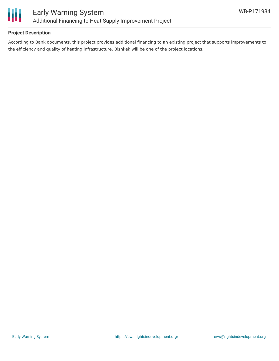

#### **Project Description**

According to Bank documents, this project provides additional financing to an existing project that supports improvements to the efficiency and quality of heating infrastructure. Bishkek will be one of the project locations.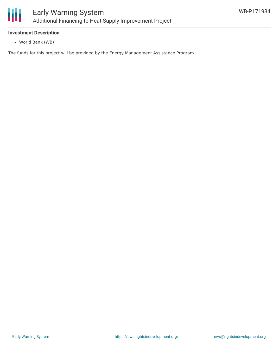

#### **Investment Description**

World Bank (WB)

The funds for this project will be provided by the Energy Management Assistance Program.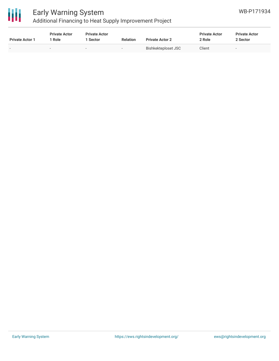

## Early Warning System

Additional Financing to Heat Supply Improvement Project

| <b>Private Actor 1</b>   | <b>Private Actor</b><br><sup>1</sup> Role | <b>Private Actor</b><br>l Sector | <b>Relation</b>          | <b>Private Actor 2</b> | <b>Private Actor</b><br>2 Role | <b>Private Actor</b><br>2 Sector |
|--------------------------|-------------------------------------------|----------------------------------|--------------------------|------------------------|--------------------------------|----------------------------------|
| $\overline{\phantom{a}}$ |                                           | $\sim$                           | $\overline{\phantom{a}}$ | Bishkekteploset JSC    | Client                         |                                  |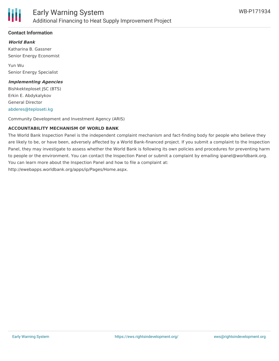

#### **Contact Information**

#### **World Bank**

Katharina B. Gassner Senior Energy Economist

Yun Wu Senior Energy Specialist

#### **Implementing Agencies**

Bishkekteploset JSC (BTS) Erkin E. Abdykalykov General Director [abderes@teploseti.kg](mailto:abderes@teploseti.kg)

Community Development and Investment Agency (ARIS)

#### **ACCOUNTABILITY MECHANISM OF WORLD BANK**

The World Bank Inspection Panel is the independent complaint mechanism and fact-finding body for people who believe they are likely to be, or have been, adversely affected by a World Bank-financed project. If you submit a complaint to the Inspection Panel, they may investigate to assess whether the World Bank is following its own policies and procedures for preventing harm to people or the environment. You can contact the Inspection Panel or submit a complaint by emailing ipanel@worldbank.org. You can learn more about the Inspection Panel and how to file a complaint at: http://ewebapps.worldbank.org/apps/ip/Pages/Home.aspx.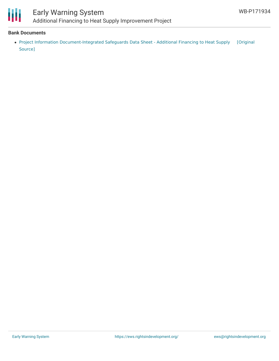

### Early Warning System Additional Financing to Heat Supply Improvement Project

#### **Bank Documents**

Project Information [Document-Integrated](https://ewsdata.rightsindevelopment.org/files/documents/34/WB-P171934.pdf) Safeguards Data Sheet - Additional Financing to Heat Supply [Original Source]